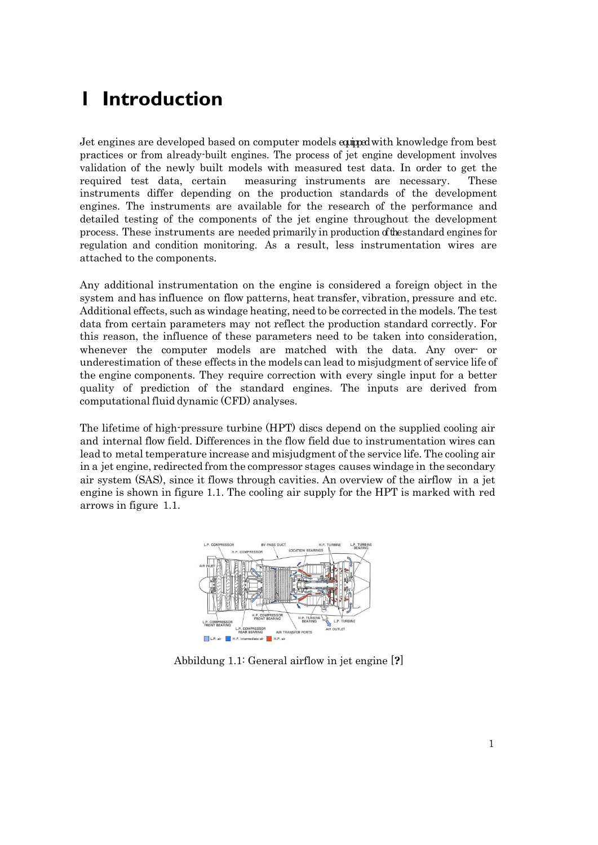## **1 Introduction**

Jet engines are developed based on computer models equippedwith knowledge from best practices or from already-built engines. The process of jet engine development involves validation of the newly built models with measured test data. In order to get the required test data, certain measuring instruments are necessary. These instruments differ depending on the production standards of the development engines. The instruments are available for the research of the performance and detailed testing of the components of the jet engine throughout the development process. These instruments are needed primarily in production of the standard engines for regulation and condition monitoring. As a result, less instrumentation wires are attached to the components.

Any additional instrumentation on the engine is considered a foreign object in the system and has influence on flow patterns, heat transfer, vibration, pressure and etc. Additional effects, such as windage heating, need to be corrected in the models. The test data from certain parameters may not reflect the production standard correctly. For this reason, the influence of these parameters need to be taken into consideration, whenever the computer models are matched with the data. Any over- or underestimation of these effects in the models can lead to misjudgment of service life of the engine components. They require correction with every single input for a better quality of prediction of the standard engines. The inputs are derived from computational fluid dynamic (CFD) analyses.

The lifetime of high-pressure turbine (HPT) discs depend on the supplied cooling air and internal flow field. Differences in the flow field due to instrumentation wires can lead to metal temperature increase and misjudgment of the service life. The cooling air in a jet engine, redirected from the compressor stages causes windage in the secondary air system (SAS), since it flows through cavities. An overview of the airflow in a jet engine is shown in figure [1.1.](#page-0-0) The cooling air supply for the HPT is marked with red arrows in figure [1.1.](#page-0-0)



<span id="page-0-0"></span>Abbildung 1.1: General airflow in jet engine [**?**]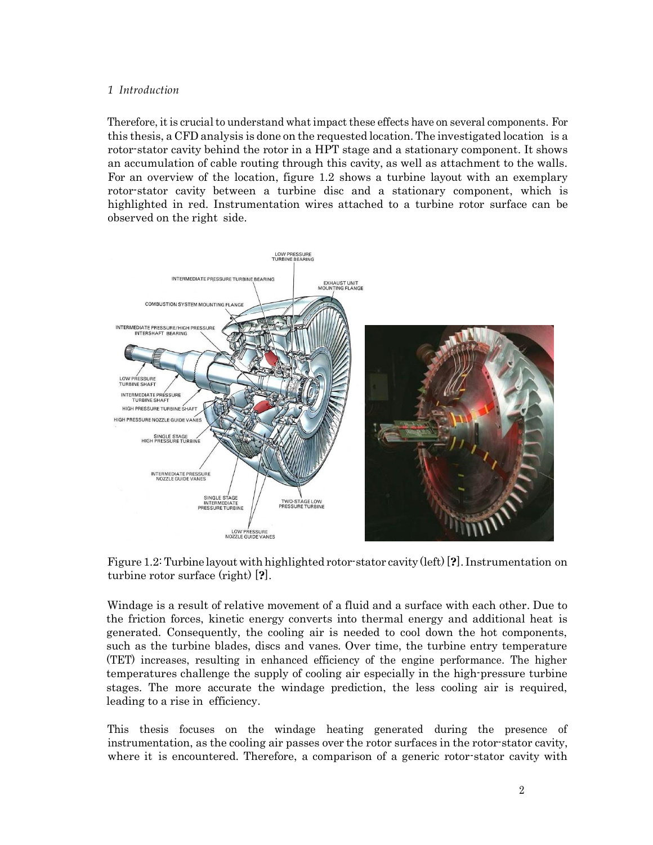## <span id="page-1-0"></span>*1 Introduction*

Therefore, it is crucial to understand what impact these effects have on several components. For this thesis, a CFD analysis is done on the requested location. The investigated location is a rotor-stator cavity behind the rotor in a HPT stage and a stationary component. It shows an accumulation of cable routing through this cavity, as well as attachment to the walls. For an overview of the location, figure [1.2 s](#page-1-0)hows a turbine layout with an exemplary rotor-stator cavity between a turbine disc and a stationary component, which is highlighted in red. Instrumentation wires attached to a turbine rotor surface can be observed on the right side.



Figure 1.2: Turbine layout with highlighted rotor-stator cavity (left) [**?**]. Instrumentation on turbine rotor surface (right) [**?**].

Windage is a result of relative movement of a fluid and a surface with each other. Due to the friction forces, kinetic energy converts into thermal energy and additional heat is generated. Consequently, the cooling air is needed to cool down the hot components, such as the turbine blades, discs and vanes. Over time, the turbine entry temperature (TET) increases, resulting in enhanced efficiency of the engine performance. The higher temperatures challenge the supply of cooling air especially in the high-pressure turbine stages. The more accurate the windage prediction, the less cooling air is required, leading to a rise in efficiency.

This thesis focuses on the windage heating generated during the presence of instrumentation, as the cooling air passes over the rotor surfaces in the rotor-stator cavity, where it is encountered. Therefore, a comparison of a generic rotor-stator cavity with